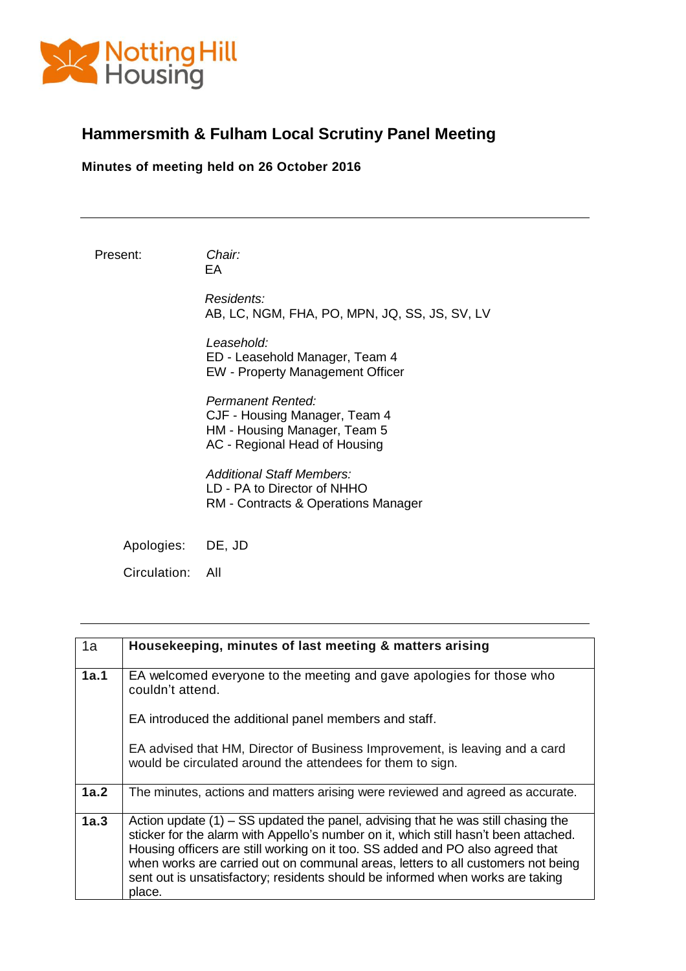

## **Hammersmith & Fulham Local Scrutiny Panel Meeting**

**Minutes of meeting held on 26 October 2016**

Present: *Chair:* 

EA

*Residents:*  AB, LC, NGM, FHA, PO, MPN, JQ, SS, JS, SV, LV

*Leasehold:*  ED - Leasehold Manager, Team 4 EW - Property Management Officer

*Permanent Rented:*  CJF - Housing Manager, Team 4 HM - Housing Manager, Team 5 AC - Regional Head of Housing

*Additional Staff Members:*  LD - PA to Director of NHHO RM - Contracts & Operations Manager

Apologies: DE, JD

Circulation: All

| 1a   | Housekeeping, minutes of last meeting & matters arising                                                                                                                                                                                                                                                                                                                                                                                      |
|------|----------------------------------------------------------------------------------------------------------------------------------------------------------------------------------------------------------------------------------------------------------------------------------------------------------------------------------------------------------------------------------------------------------------------------------------------|
| 1a.1 | EA welcomed everyone to the meeting and gave apologies for those who<br>couldn't attend.                                                                                                                                                                                                                                                                                                                                                     |
|      | EA introduced the additional panel members and staff.                                                                                                                                                                                                                                                                                                                                                                                        |
|      | EA advised that HM, Director of Business Improvement, is leaving and a card<br>would be circulated around the attendees for them to sign.                                                                                                                                                                                                                                                                                                    |
| 1a.2 | The minutes, actions and matters arising were reviewed and agreed as accurate.                                                                                                                                                                                                                                                                                                                                                               |
| 1a.3 | Action update $(1)$ – SS updated the panel, advising that he was still chasing the<br>sticker for the alarm with Appello's number on it, which still hasn't been attached.<br>Housing officers are still working on it too. SS added and PO also agreed that<br>when works are carried out on communal areas, letters to all customers not being<br>sent out is unsatisfactory; residents should be informed when works are taking<br>place. |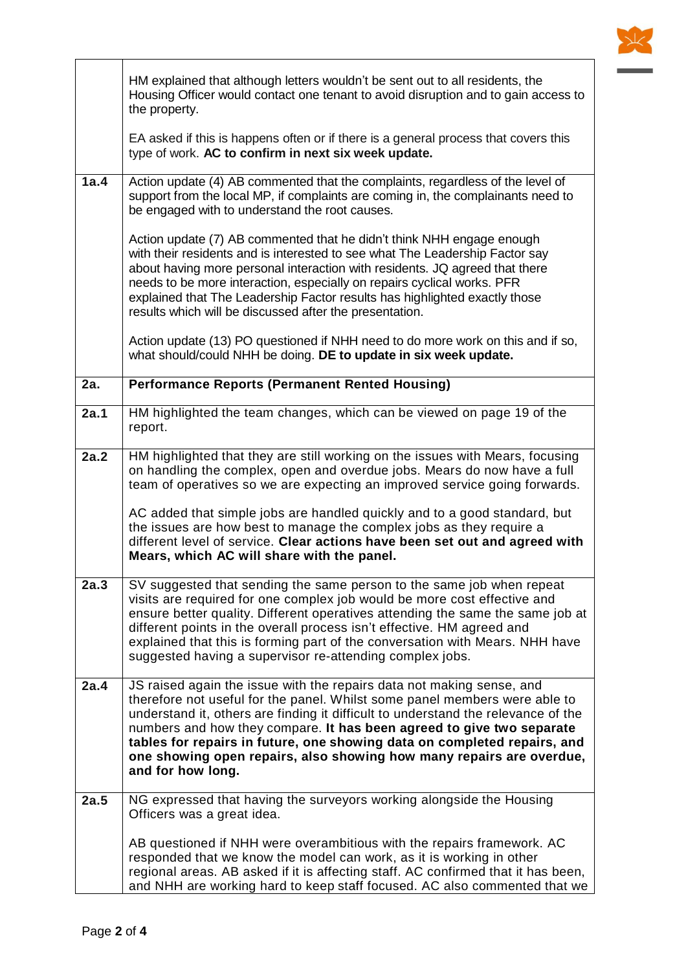

|      | HM explained that although letters wouldn't be sent out to all residents, the<br>Housing Officer would contact one tenant to avoid disruption and to gain access to<br>the property.<br>EA asked if this is happens often or if there is a general process that covers this<br>type of work. AC to confirm in next six week update.                                                                                                                                                        |
|------|--------------------------------------------------------------------------------------------------------------------------------------------------------------------------------------------------------------------------------------------------------------------------------------------------------------------------------------------------------------------------------------------------------------------------------------------------------------------------------------------|
|      |                                                                                                                                                                                                                                                                                                                                                                                                                                                                                            |
| 1a.4 | Action update (4) AB commented that the complaints, regardless of the level of<br>support from the local MP, if complaints are coming in, the complainants need to<br>be engaged with to understand the root causes.                                                                                                                                                                                                                                                                       |
|      | Action update (7) AB commented that he didn't think NHH engage enough<br>with their residents and is interested to see what The Leadership Factor say<br>about having more personal interaction with residents. JQ agreed that there<br>needs to be more interaction, especially on repairs cyclical works. PFR<br>explained that The Leadership Factor results has highlighted exactly those<br>results which will be discussed after the presentation.                                   |
|      | Action update (13) PO questioned if NHH need to do more work on this and if so,<br>what should/could NHH be doing. DE to update in six week update.                                                                                                                                                                                                                                                                                                                                        |
| 2a.  | <b>Performance Reports (Permanent Rented Housing)</b>                                                                                                                                                                                                                                                                                                                                                                                                                                      |
| 2a.1 | HM highlighted the team changes, which can be viewed on page 19 of the<br>report.                                                                                                                                                                                                                                                                                                                                                                                                          |
| 2a.2 | HM highlighted that they are still working on the issues with Mears, focusing<br>on handling the complex, open and overdue jobs. Mears do now have a full<br>team of operatives so we are expecting an improved service going forwards.                                                                                                                                                                                                                                                    |
|      | AC added that simple jobs are handled quickly and to a good standard, but<br>the issues are how best to manage the complex jobs as they require a<br>different level of service. Clear actions have been set out and agreed with<br>Mears, which AC will share with the panel.                                                                                                                                                                                                             |
| 2a.3 | SV suggested that sending the same person to the same job when repeat<br>visits are required for one complex job would be more cost effective and<br>ensure better quality. Different operatives attending the same the same job at<br>different points in the overall process isn't effective. HM agreed and<br>explained that this is forming part of the conversation with Mears. NHH have<br>suggested having a supervisor re-attending complex jobs.                                  |
| 2a.4 | JS raised again the issue with the repairs data not making sense, and<br>therefore not useful for the panel. Whilst some panel members were able to<br>understand it, others are finding it difficult to understand the relevance of the<br>numbers and how they compare. It has been agreed to give two separate<br>tables for repairs in future, one showing data on completed repairs, and<br>one showing open repairs, also showing how many repairs are overdue,<br>and for how long. |
| 2a.5 | NG expressed that having the surveyors working alongside the Housing<br>Officers was a great idea.                                                                                                                                                                                                                                                                                                                                                                                         |
|      | AB questioned if NHH were overambitious with the repairs framework. AC<br>responded that we know the model can work, as it is working in other<br>regional areas. AB asked if it is affecting staff. AC confirmed that it has been,<br>and NHH are working hard to keep staff focused. AC also commented that we                                                                                                                                                                           |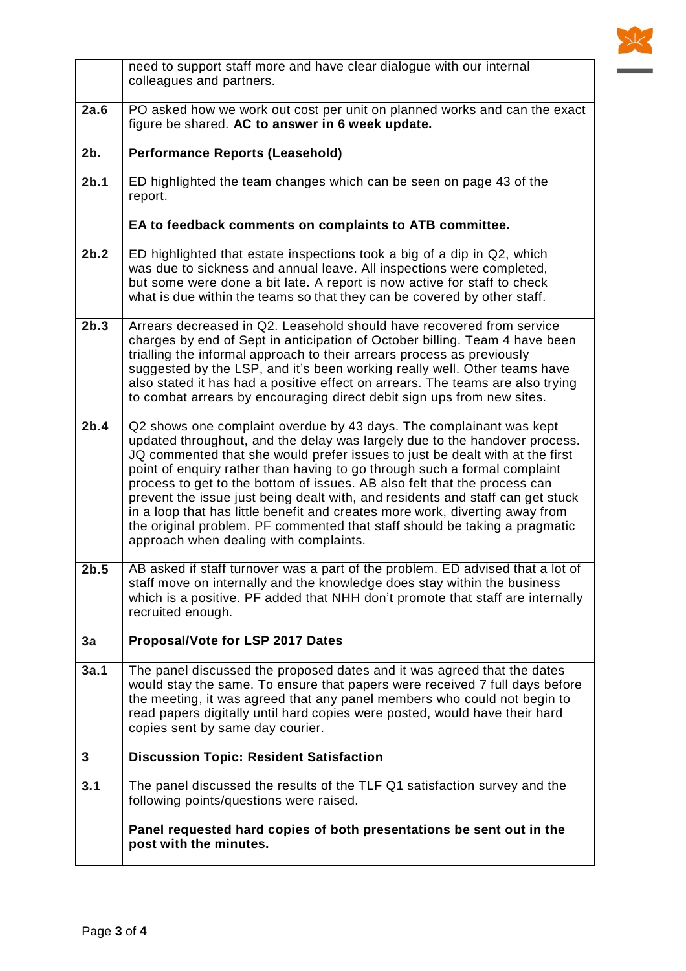

|      | need to support staff more and have clear dialogue with our internal<br>colleagues and partners.                                                                                                                                                                                                                                                                                                                                                                                                                                                                                                                                                                                      |
|------|---------------------------------------------------------------------------------------------------------------------------------------------------------------------------------------------------------------------------------------------------------------------------------------------------------------------------------------------------------------------------------------------------------------------------------------------------------------------------------------------------------------------------------------------------------------------------------------------------------------------------------------------------------------------------------------|
| 2a.6 | PO asked how we work out cost per unit on planned works and can the exact<br>figure be shared. AC to answer in 6 week update.                                                                                                                                                                                                                                                                                                                                                                                                                                                                                                                                                         |
| 2b.  | <b>Performance Reports (Leasehold)</b>                                                                                                                                                                                                                                                                                                                                                                                                                                                                                                                                                                                                                                                |
| 2b.1 | ED highlighted the team changes which can be seen on page 43 of the<br>report.                                                                                                                                                                                                                                                                                                                                                                                                                                                                                                                                                                                                        |
|      | EA to feedback comments on complaints to ATB committee.                                                                                                                                                                                                                                                                                                                                                                                                                                                                                                                                                                                                                               |
| 2b.2 | ED highlighted that estate inspections took a big of a dip in Q2, which<br>was due to sickness and annual leave. All inspections were completed,<br>but some were done a bit late. A report is now active for staff to check<br>what is due within the teams so that they can be covered by other staff.                                                                                                                                                                                                                                                                                                                                                                              |
| 2b.3 | Arrears decreased in Q2. Leasehold should have recovered from service<br>charges by end of Sept in anticipation of October billing. Team 4 have been<br>trialling the informal approach to their arrears process as previously<br>suggested by the LSP, and it's been working really well. Other teams have<br>also stated it has had a positive effect on arrears. The teams are also trying<br>to combat arrears by encouraging direct debit sign ups from new sites.                                                                                                                                                                                                               |
| 2b.4 | Q2 shows one complaint overdue by 43 days. The complainant was kept<br>updated throughout, and the delay was largely due to the handover process.<br>JQ commented that she would prefer issues to just be dealt with at the first<br>point of enquiry rather than having to go through such a formal complaint<br>process to get to the bottom of issues. AB also felt that the process can<br>prevent the issue just being dealt with, and residents and staff can get stuck<br>in a loop that has little benefit and creates more work, diverting away from<br>the original problem. PF commented that staff should be taking a pragmatic<br>approach when dealing with complaints. |
| 2b.5 | AB asked if staff turnover was a part of the problem. ED advised that a lot of<br>staff move on internally and the knowledge does stay within the business<br>which is a positive. PF added that NHH don't promote that staff are internally<br>recruited enough.                                                                                                                                                                                                                                                                                                                                                                                                                     |
| 3a   | Proposal/Vote for LSP 2017 Dates                                                                                                                                                                                                                                                                                                                                                                                                                                                                                                                                                                                                                                                      |
| 3a.1 | The panel discussed the proposed dates and it was agreed that the dates<br>would stay the same. To ensure that papers were received 7 full days before<br>the meeting, it was agreed that any panel members who could not begin to<br>read papers digitally until hard copies were posted, would have their hard<br>copies sent by same day courier.                                                                                                                                                                                                                                                                                                                                  |
| 3    | <b>Discussion Topic: Resident Satisfaction</b>                                                                                                                                                                                                                                                                                                                                                                                                                                                                                                                                                                                                                                        |
| 3.1  | The panel discussed the results of the TLF Q1 satisfaction survey and the<br>following points/questions were raised.                                                                                                                                                                                                                                                                                                                                                                                                                                                                                                                                                                  |
|      | Panel requested hard copies of both presentations be sent out in the<br>post with the minutes.                                                                                                                                                                                                                                                                                                                                                                                                                                                                                                                                                                                        |